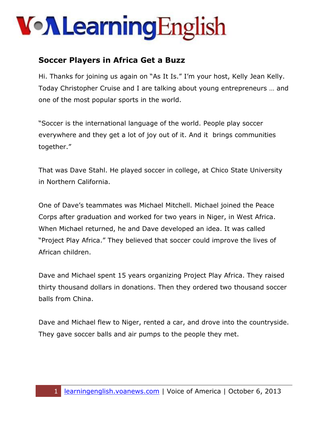# **Von Learning English**

#### **Soccer Players in Africa Get a Buzz**

Hi. Thanks for joining us again on "As It Is." I'm your host, Kelly Jean Kelly. Today Christopher Cruise and I are talking about young entrepreneurs … and one of the most popular sports in the world.

"Soccer is the international language of the world. People play soccer everywhere and they get a lot of joy out of it. And it brings communities together."

That was Dave Stahl. He played soccer in college, at Chico State University in Northern California.

One of Dave's teammates was Michael Mitchell. Michael joined the Peace Corps after graduation and worked for two years in Niger, in West Africa. When Michael returned, he and Dave developed an idea. It was called "Project Play Africa." They believed that soccer could improve the lives of African children.

Dave and Michael spent 15 years organizing Project Play Africa. They raised thirty thousand dollars in donations. Then they ordered two thousand soccer balls from China.

Dave and Michael flew to Niger, rented a car, and drove into the countryside. They gave soccer balls and air pumps to the people they met.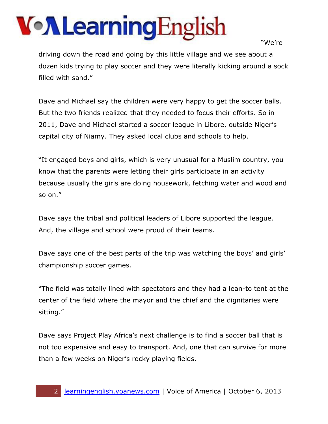# **Von Learning English**

"We're

driving down the road and going by this little village and we see about a dozen kids trying to play soccer and they were literally kicking around a sock filled with sand."

Dave and Michael say the children were very happy to get the soccer balls. But the two friends realized that they needed to focus their efforts. So in 2011, Dave and Michael started a soccer league in Libore, outside Niger's capital city of Niamy. They asked local clubs and schools to help.

"It engaged boys and girls, which is very unusual for a Muslim country, you know that the parents were letting their girls participate in an activity because usually the girls are doing housework, fetching water and wood and so on."

Dave says the tribal and political leaders of Libore supported the league. And, the village and school were proud of their teams.

Dave says one of the best parts of the trip was watching the boys' and girls' championship soccer games.

"The field was totally lined with spectators and they had a lean-to tent at the center of the field where the mayor and the chief and the dignitaries were sitting."

Dave says Project Play Africa's next challenge is to find a soccer ball that is not too expensive and easy to transport. And, one that can survive for more than a few weeks on Niger's rocky playing fields.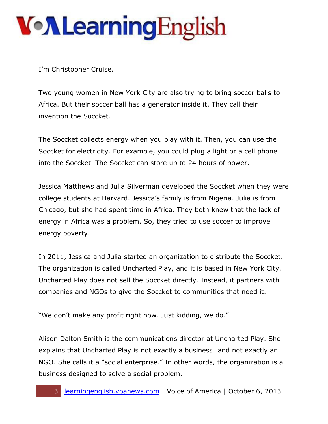## **Von Learning English**

I'm Christopher Cruise.

Two young women in New York City are also trying to bring soccer balls to Africa. But their soccer ball has a generator inside it. They call their invention the Soccket.

The Soccket collects energy when you play with it. Then, you can use the Soccket for electricity. For example, you could plug a light or a cell phone into the Soccket. The Soccket can store up to 24 hours of power.

Jessica Matthews and Julia Silverman developed the Soccket when they were college students at Harvard. Jessica's family is from Nigeria. Julia is from Chicago, but she had spent time in Africa. They both knew that the lack of energy in Africa was a problem. So, they tried to use soccer to improve energy poverty.

In 2011, Jessica and Julia started an organization to distribute the Soccket. The organization is called Uncharted Play, and it is based in New York City. Uncharted Play does not sell the Soccket directly. Instead, it partners with companies and NGOs to give the Soccket to communities that need it.

"We don't make any profit right now. Just kidding, we do."

Alison Dalton Smith is the communications director at Uncharted Play. She explains that Uncharted Play is not exactly a business…and not exactly an NGO. She calls it a "social enterprise." In other words, the organization is a business designed to solve a social problem.